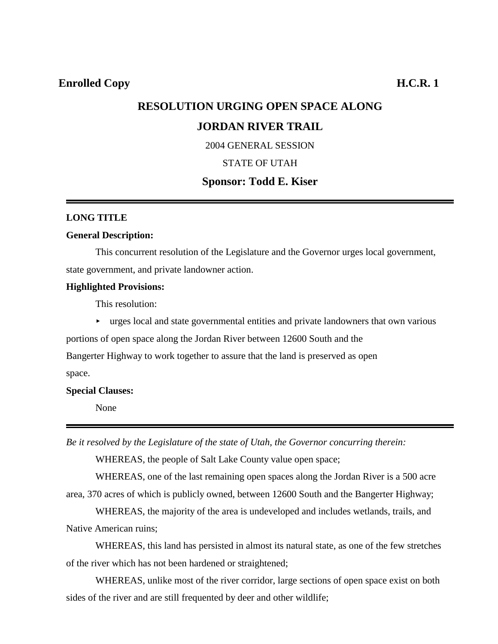# **RESOLUTION URGING OPEN SPACE ALONG**

# **JORDAN RIVER TRAIL**

2004 GENERAL SESSION

## STATE OF UTAH

### **Sponsor: Todd E. Kiser**

#### **LONG TITLE**

#### **General Description:**

This concurrent resolution of the Legislature and the Governor urges local government, state government, and private landowner action.

#### **Highlighted Provisions:**

This resolution:

 $\rightarrow$  urges local and state governmental entities and private landowners that own various portions of open space along the Jordan River between 12600 South and the Bangerter Highway to work together to assure that the land is preserved as open

space.

#### **Special Clauses:**

None

*Be it resolved by the Legislature of the state of Utah, the Governor concurring therein:*

WHEREAS, the people of Salt Lake County value open space;

WHEREAS, one of the last remaining open spaces along the Jordan River is a 500 acre area, 370 acres of which is publicly owned, between 12600 South and the Bangerter Highway;

WHEREAS, the majority of the area is undeveloped and includes wetlands, trails, and Native American ruins;

WHEREAS, this land has persisted in almost its natural state, as one of the few stretches of the river which has not been hardened or straightened;

WHEREAS, unlike most of the river corridor, large sections of open space exist on both sides of the river and are still frequented by deer and other wildlife;